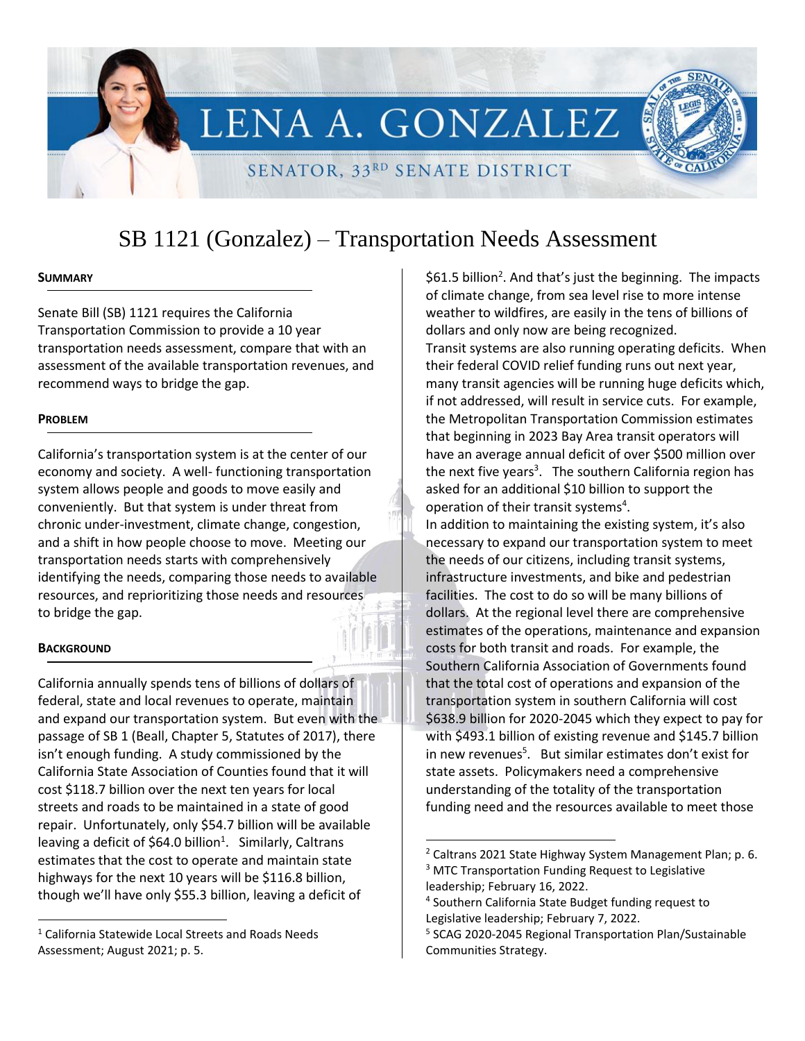LENA A. GONZALEZ

SENATOR, 33RD SENATE DISTRICT

# SB 1121 (Gonzalez) – Transportation Needs Assessment

### **SUMMARY**

Senate Bill (SB) 1121 requires the California Transportation Commission to provide a 10 year transportation needs assessment, compare that with an assessment of the available transportation revenues, and recommend ways to bridge the gap.

### **PROBLEM**

California's transportation system is at the center of our economy and society. A well- functioning transportation system allows people and goods to move easily and conveniently. But that system is under threat from chronic under-investment, climate change, congestion, and a shift in how people choose to move. Meeting our transportation needs starts with comprehensively identifying the needs, comparing those needs to available resources, and reprioritizing those needs and resources to bridge the gap.

## **BACKGROUND**

l

California annually spends tens of billions of dollars of federal, state and local revenues to operate, maintain and expand our transportation system. But even with the passage of SB 1 (Beall, Chapter 5, Statutes of 2017), there isn't enough funding. A study commissioned by the California State Association of Counties found that it will cost \$118.7 billion over the next ten years for local streets and roads to be maintained in a state of good repair. Unfortunately, only \$54.7 billion will be available leaving a deficit of \$64.0 billion<sup>1</sup>. Similarly, Caltrans estimates that the cost to operate and maintain state highways for the next 10 years will be \$116.8 billion, though we'll have only \$55.3 billion, leaving a deficit of

\$61.5 billion<sup>2</sup>. And that's just the beginning. The impacts of climate change, from sea level rise to more intense weather to wildfires, are easily in the tens of billions of dollars and only now are being recognized. Transit systems are also running operating deficits. When their federal COVID relief funding runs out next year, many transit agencies will be running huge deficits which, if not addressed, will result in service cuts. For example, the Metropolitan Transportation Commission estimates that beginning in 2023 Bay Area transit operators will have an average annual deficit of over \$500 million over the next five years<sup>3</sup>. The southern California region has asked for an additional \$10 billion to support the operation of their transit systems<sup>4</sup>. In addition to maintaining the existing system, it's also necessary to expand our transportation system to meet the needs of our citizens, including transit systems, infrastructure investments, and bike and pedestrian

facilities. The cost to do so will be many billions of dollars. At the regional level there are comprehensive estimates of the operations, maintenance and expansion costs for both transit and roads. For example, the Southern California Association of Governments found that the total cost of operations and expansion of the transportation system in southern California will cost \$638.9 billion for 2020-2045 which they expect to pay for with \$493.1 billion of existing revenue and \$145.7 billion in new revenues<sup>5</sup>. But similar estimates don't exist for state assets. Policymakers need a comprehensive understanding of the totality of the transportation funding need and the resources available to meet those

 $\overline{\phantom{a}}$ 

<sup>1</sup> California Statewide Local Streets and Roads Needs Assessment; August 2021; p. 5.

<sup>&</sup>lt;sup>2</sup> Caltrans 2021 State Highway System Management Plan; p. 6. <sup>3</sup> MTC Transportation Funding Request to Legislative leadership; February 16, 2022.

<sup>4</sup> Southern California State Budget funding request to Legislative leadership; February 7, 2022.

<sup>5</sup> SCAG 2020-2045 Regional Transportation Plan/Sustainable Communities Strategy.